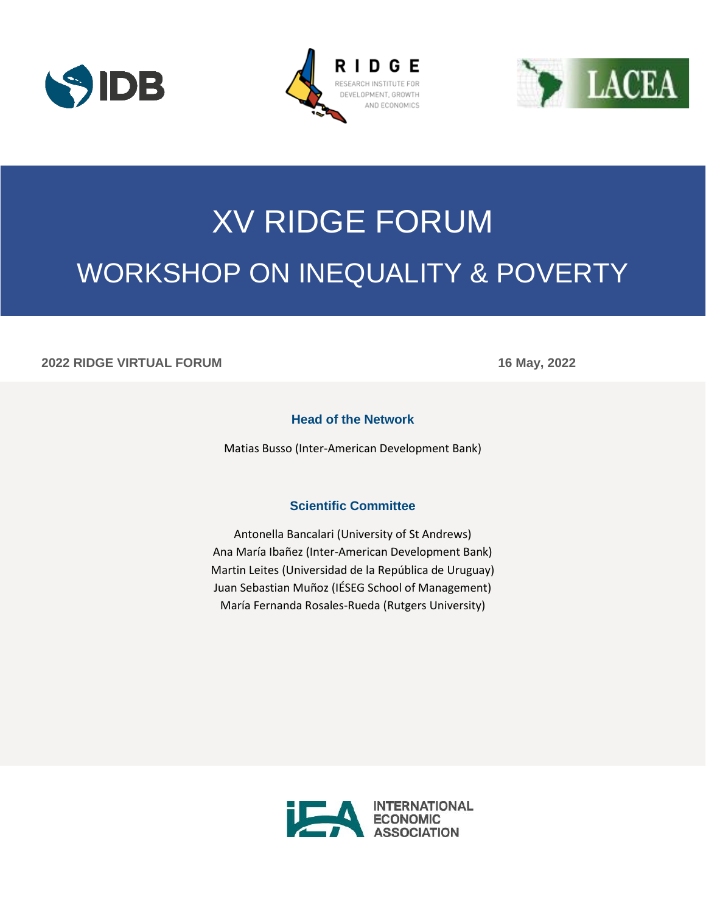





# XV RIDGE FORUM WORKSHOP ON INEQUALITY & POVERTY

#### **2022 RIDGE VIRTUAL FORUM 16 May, 2022**

### **Head of the Network**

Matias Busso (Inter-American Development Bank)

#### **Scientific Committee**

Antonella Bancalari (University of St Andrews) Ana María Ibañez (Inter-American Development Bank) Martin Leites (Universidad de la República de Uruguay) Juan Sebastian Muñoz (IÉSEG School of Management) María Fernanda Rosales-Rueda (Rutgers University)

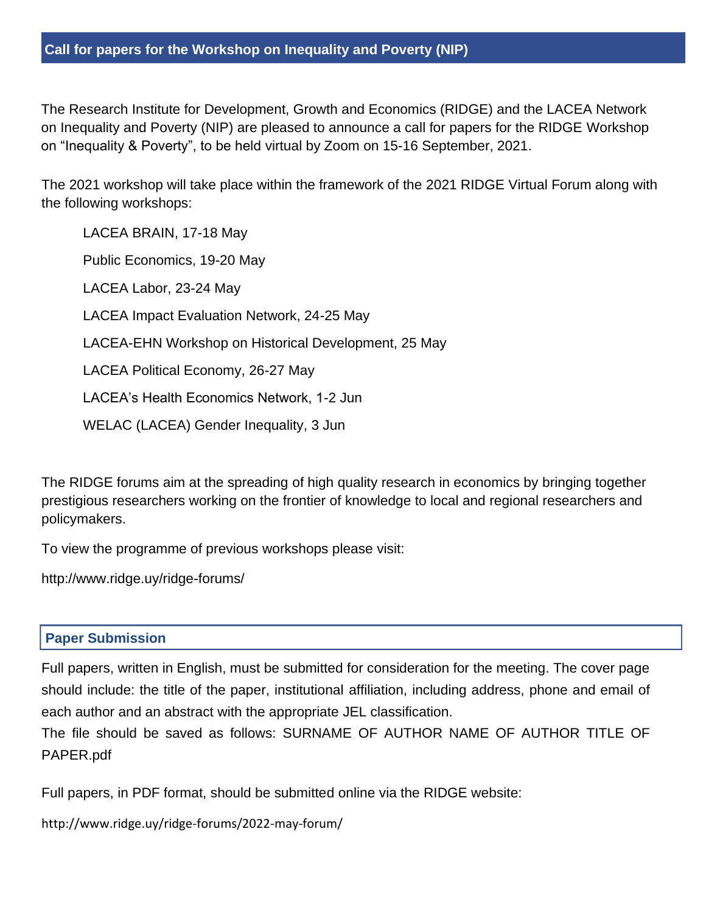The Research Institute for Development, Growth and Economics (RIDGE) and the LACEA Network on Inequality and Poverty (NIP) are pleased to announce a call for papers for the RIDGE Workshop on "Inequality & Poverty", to be held virtual by Zoom on 15-16 September, 2021.

The 2021 workshop will take place within the framework of the 2021 RIDGE Virtual Forum along with the following workshops:

LACEA BRAIN, 17-18 May Public Economics, 19-20 May LACEA Labor, 23-24 May LACEA Impact Evaluation Network, 24-25 May LACEA-EHN Workshop on Historical Development, 25 May LACEA Political Economy, 26-27 May LACEA's Health Economics Network, 1-2 Jun WELAC (LACEA) Gender Inequality, 3 Jun

The RIDGE forums aim at the spreading of high quality research in economics by bringing together prestigious researchers working on the frontier of knowledge to local and regional researchers and policymakers.

To view the programme of previous workshops please visit:

http://www.ridge.uy/ridge-forums/

## **Paper Submission**

Full papers, written in English, must be submitted for consideration for the meeting. The cover page should include: the title of the paper, institutional affiliation, including address, phone and email of each author and an abstract with the appropriate JEL classification.

The file should be saved as follows: SURNAME OF AUTHOR NAME OF AUTHOR TITLE OF PAPER.pdf

Full papers, in PDF format, should be submitted online via the RIDGE website:

<http://www.ridge.uy/ridge-forums/2022-may-forum/>